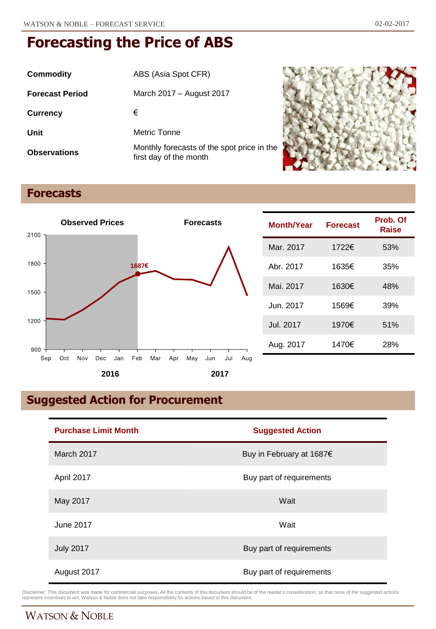| Commodity              | ABS (Asia Spot CFR)                                                  |
|------------------------|----------------------------------------------------------------------|
| <b>Forecast Period</b> | March 2017 – August 2017                                             |
| <b>Currency</b>        | €                                                                    |
| Unit                   | Metric Tonne                                                         |
| <b>Observations</b>    | Monthly forecasts of the spot price in the<br>first day of the month |



# **Forecasts**



| Month/Year | <b>Forecast</b> | Prob. Of<br>Raise |
|------------|-----------------|-------------------|
| Mar. 2017  | 1722€           | 53%               |
| Abr. 2017  | 1635€           | 35%               |
| Mai. 2017  | 1630€           | 48%               |
| Jun. 2017  | 1569€           | 39%               |
| Jul. 2017  | 1970€           | 51%               |
| Aug. 2017  | 1470€           | 28%               |

# **Suggested Action for Procurement**

| <b>Purchase Limit Month</b> | <b>Suggested Action</b>  |  |
|-----------------------------|--------------------------|--|
| March 2017                  | Buy in February at 1687€ |  |
| April 2017                  | Buy part of requirements |  |
| May 2017                    | Wait                     |  |
| June 2017                   | Wait                     |  |
| <b>July 2017</b>            | Buy part of requirements |  |
| August 2017                 | Buy part of requirements |  |

Disclaimer: This document was made for commercial purposes. All the contents of this document should be of the reader's consideration, so that none of the suggested actions<br>represent incentives to act. Watson & Noble does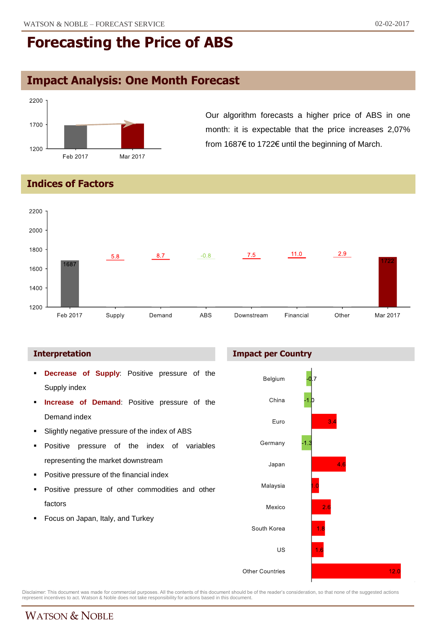## **Impact Analysis: One Month Forecast**



Our algorithm forecasts a higher price of ABS in one month: it is expectable that the price increases 2,07% from 1687€ to 1722€ until the beginning of March.

### **Indices of Factors**



#### **Interpretation**

- **Decrease of Supply**: Positive pressure of the Supply index
- **Increase of Demand**: Positive pressure of the Demand index
- Slightly negative pressure of the index of ABS
- **Positive pressure of the index of variables** representing the market downstream
- **Positive pressure of the financial index**
- Positive pressure of other commodities and other factors
- Focus on Japan, Italy, and Turkey

#### **Impact per Country**



Disclaimer: This document was made for commercial purposes. All the contents of this document should be of the reader's consideration, so that none of the suggested actions<br>represent incentives to act. Watson & Noble does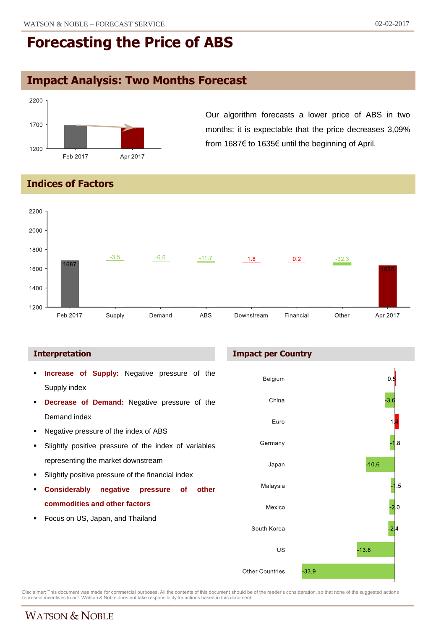# **Impact Analysis: Two Months Forecast**



Our algorithm forecasts a lower price of ABS in two months: it is expectable that the price decreases 3,09% from 1687€ to 1635€ until the beginning of April.

### **Indices of Factors**



- **Increase of Supply:** Negative pressure of the Supply index
- **Decrease of Demand:** Negative pressure of the Demand index
- Negative pressure of the index of ABS
- **Slightly positive pressure of the index of variables** representing the market downstream
- **Slightly positive pressure of the financial index**
- **Considerably negative pressure of other commodities and other factors**
- Focus on US, Japan, and Thailand

#### **Interpretation Impact per Country**



Disclaimer: This document was made for commercial purposes. All the contents of this document should be of the reader's consideration, so that none of the suggested actions<br>represent incentives to act. Watson & Noble does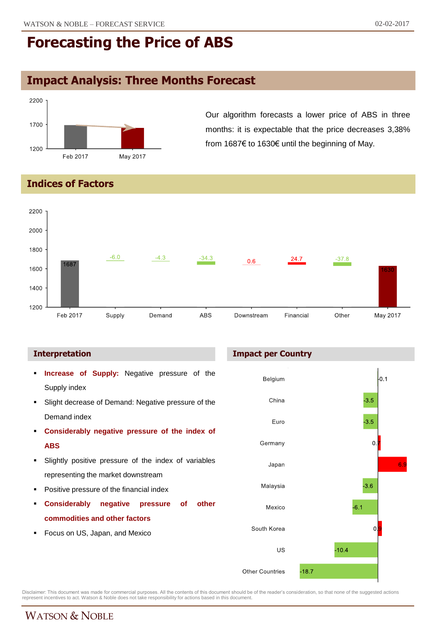# **Impact Analysis: Three Months Forecast**



Our algorithm forecasts a lower price of ABS in three months: it is expectable that the price decreases 3,38% from 1687€ to 1630€ until the beginning of May.

### **Indices of Factors**



- **Increase of Supply:** Negative pressure of the Supply index **Slight decrease of Demand: Negative pressure of the** Demand index **Considerably negative pressure of the index of ABS**
- Slightly positive pressure of the index of variables representing the market downstream
- Positive pressure of the financial index
- **Considerably negative pressure of other commodities and other factors**
- **Focus on US, Japan, and Mexico**

#### **Interpretation Impact per Country**



Disclaimer: This document was made for commercial purposes. All the contents of this document should be of the reader's consideration, so that none of the suggested actions<br>represent incentives to act. Watson & Noble does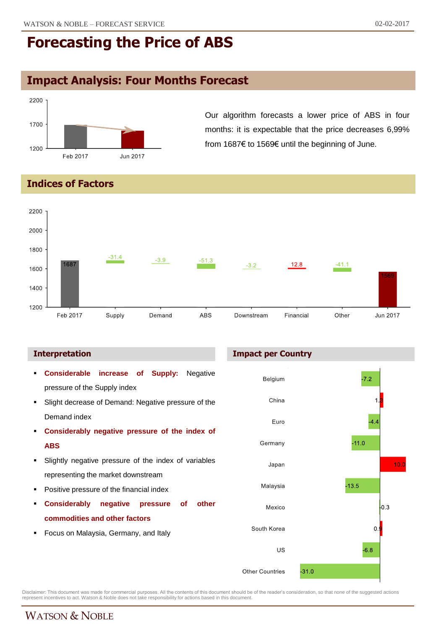# **Impact Analysis: Four Months Forecast**



Our algorithm forecasts a lower price of ABS in four months: it is expectable that the price decreases 6,99% from 1687€ to 1569€ until the beginning of June.

### **Indices of Factors**



 **Considerable increase of Supply:** Negative pressure of the Supply index **Slight decrease of Demand: Negative pressure of the** Demand index **Considerably negative pressure of the index of ABS** Slightly negative pressure of the index of variables representing the market downstream Positive pressure of the financial index **Considerably negative pressure of other commodities and other factors Focus on Malaysia, Germany, and Italy** 

#### **Interpretation Impact per Country**



Disclaimer: This document was made for commercial purposes. All the contents of this document should be of the reader's consideration, so that none of the suggested actions<br>represent incentives to act. Watson & Noble does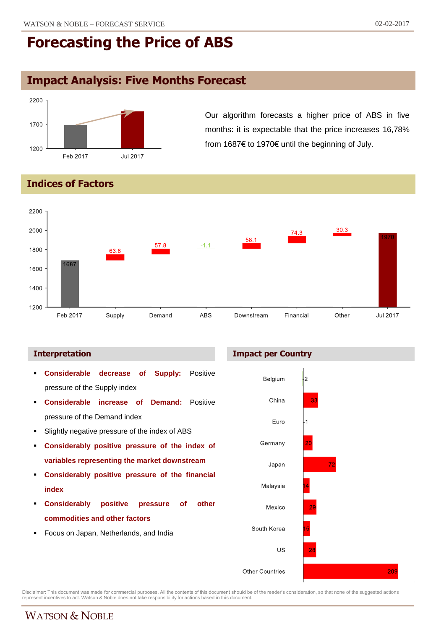# **Impact Analysis: Five Months Forecast**



Our algorithm forecasts a higher price of ABS in five months: it is expectable that the price increases 16,78% from 1687€ to 1970€ until the beginning of July.

### **Indices of Factors**



#### **Interpretation Impact per Country**

 **Considerable decrease of Supply:** Positive Belgium  $\overline{\mathbf{2}}$ pressure of the Supply index China ą. **Considerable increase of Demand:** Positive pressure of the Demand index Euro Slightly negative pressure of the index of ABS Germany **Considerably positive pressure of the index of variables representing the market downstream** Japan 70 **Considerably positive pressure of the financial** Malaysia **index Considerably positive pressure of other** Mexico **commodities and other factors** South Korea **Focus on Japan, Netherlands, and India** US 209 **Other Countries** 

Disclaimer: This document was made for commercial purposes. All the contents of this document should be of the reader's consideration, so that none of the suggested actions<br>represent incentives to act. Watson & Noble does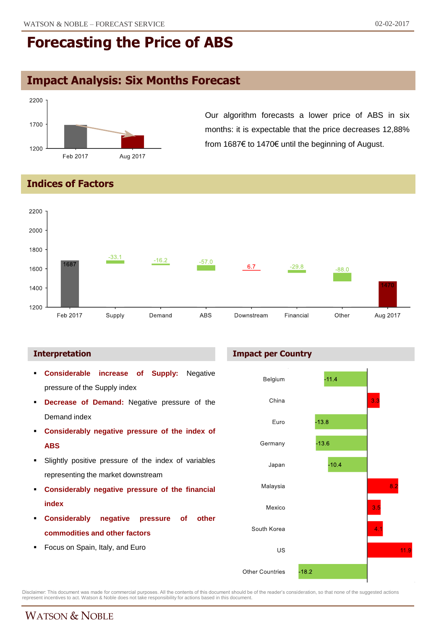# **Impact Analysis: Six Months Forecast**



Our algorithm forecasts a lower price of ABS in six months: it is expectable that the price decreases 12,88% from 1687€ to 1470€ until the beginning of August.

### **Indices of Factors**



- **Considerable increase of Supply:** Negative pressure of the Supply index
- **Decrease of Demand:** Negative pressure of the Demand index
- **Considerably negative pressure of the index of ABS**
- Slightly positive pressure of the index of variables representing the market downstream
- **Considerably negative pressure of the financial index**
- **Considerably negative pressure of other commodities and other factors**
- Focus on Spain, Italy, and Euro





Disclaimer: This document was made for commercial purposes. All the contents of this document should be of the reader's consideration, so that none of the suggested actions<br>represent incentives to act. Watson & Noble does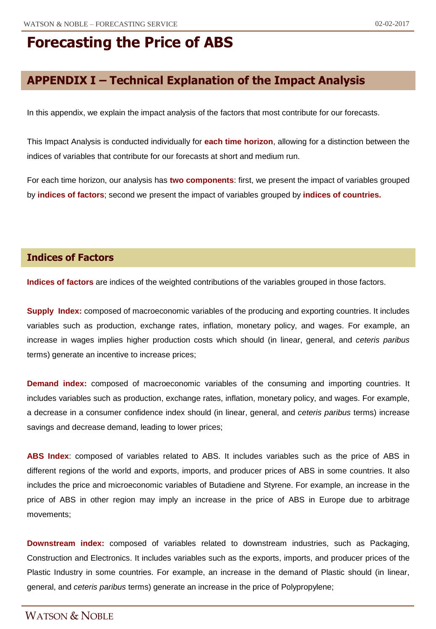# **APPENDIX I – Technical Explanation of the Impact Analysis**

In this appendix, we explain the impact analysis of the factors that most contribute for our forecasts.

This Impact Analysis is conducted individually for **each time horizon**, allowing for a distinction between the indices of variables that contribute for our forecasts at short and medium run.

For each time horizon, our analysis has **two components**: first, we present the impact of variables grouped by **indices of factors**; second we present the impact of variables grouped by **indices of countries.**

### **Indices of Factors**

**Indices of factors** are indices of the weighted contributions of the variables grouped in those factors.

**Supply Index:** composed of macroeconomic variables of the producing and exporting countries. It includes variables such as production, exchange rates, inflation, monetary policy, and wages. For example, an increase in wages implies higher production costs which should (in linear, general, and *ceteris paribus* terms) generate an incentive to increase prices;

**Demand index:** composed of macroeconomic variables of the consuming and importing countries. It includes variables such as production, exchange rates, inflation, monetary policy, and wages. For example, a decrease in a consumer confidence index should (in linear, general, and *ceteris paribus* terms) increase savings and decrease demand, leading to lower prices;

**ABS Index**: composed of variables related to ABS. It includes variables such as the price of ABS in different regions of the world and exports, imports, and producer prices of ABS in some countries. It also includes the price and microeconomic variables of Butadiene and Styrene. For example, an increase in the price of ABS in other region may imply an increase in the price of ABS in Europe due to arbitrage movements;

**Downstream index:** composed of variables related to downstream industries, such as Packaging, Construction and Electronics. It includes variables such as the exports, imports, and producer prices of the Plastic Industry in some countries. For example, an increase in the demand of Plastic should (in linear, general, and *ceteris paribus* terms) generate an increase in the price of Polypropylene;